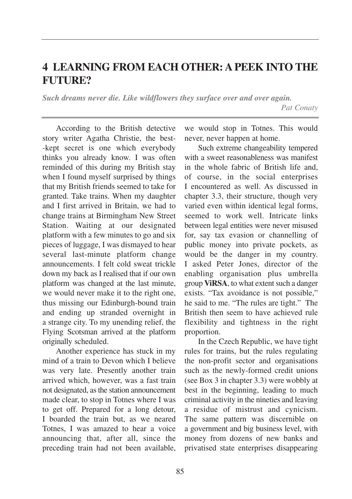## **4 LEARNING FROM EACH OTHER: A PEEK INTO THE FUTURE?**

*Such dreams never die. Like wildflowers they surface over and over again. Pat Conaty*

According to the British detective story writer Agatha Christie, the best- -kept secret is one which everybody thinks you already know. I was often reminded of this during my British stay when I found myself surprised by things that my British friends seemed to take for granted. Take trains. When my daughter and I first arrived in Britain, we had to change trains at Birmingham New Street Station. Waiting at our designated platform with a few minutes to go and six pieces of luggage, I was dismayed to hear several last-minute platform change announcements. I felt cold sweat trickle down my back as I realised that if our own platform was changed at the last minute, we would never make it to the right one, thus missing our Edinburgh-bound train and ending up stranded overnight in a strange city. To my unending relief, the Flying Scotsman arrived at the platform originally scheduled.

Another experience has stuck in my mind of a train to Devon which I believe was very late. Presently another train arrived which, however, was a fast train not designated, as the station announcement made clear, to stop in Totnes where I was to get off. Prepared for a long detour, I boarded the train but, as we neared Totnes, I was amazed to hear a voice announcing that, after all, since the preceding train had not been available,

we would stop in Totnes. This would never, never happen at home.

Such extreme changeability tempered with a sweet reasonableness was manifest in the whole fabric of British life and, of course, in the social enterprises I encountered as well. As discussed in chapter 3.3, their structure, though very varied even within identical legal forms, seemed to work well. Intricate links between legal entities were never misused for, say tax evasion or channelling of public money into private pockets, as would be the danger in my country. I asked Peter Jones, director of the enabling organisation plus umbrella group **ViRSA**, to what extent such a danger exists. "Tax avoidance is not possible," he said to me. "The rules are tight." The British then seem to have achieved rule flexibility and tightness in the right proportion.

In the Czech Republic, we have tight rules for trains, but the rules regulating the non-profit sector and organisations such as the newly-formed credit unions (see Box 3 in chapter 3.3) were wobbly at best in the beginning, leading to much criminal activity in the nineties and leaving a residue of mistrust and cynicism. The same pattern was discernible on a government and big business level, with money from dozens of new banks and privatised state enterprises disappearing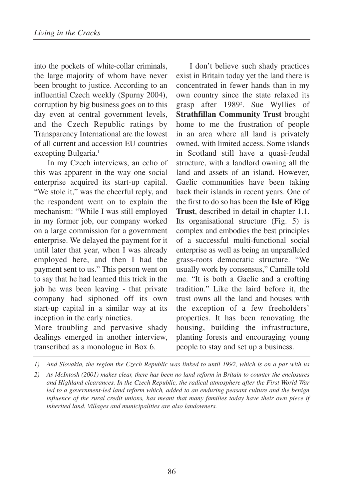into the pockets of white-collar criminals, the large majority of whom have never been brought to justice. According to an influential Czech weekly (Spurny 2004), corruption by big business goes on to this day even at central government levels, and the Czech Republic ratings by Transparency International are the lowest of all current and accession EU countries excepting Bulgaria.<sup>1</sup>

In my Czech interviews, an echo of this was apparent in the way one social enterprise acquired its start-up capital. "We stole it," was the cheerful reply, and the respondent went on to explain the mechanism: "While I was still employed in my former job, our company worked on a large commission for a government enterprise. We delayed the payment for it until later that year, when I was already employed here, and then I had the payment sent to us." This person went on to say that he had learned this trick in the job he was been leaving - that private company had siphoned off its own start-up capital in a similar way at its inception in the early nineties.

More troubling and pervasive shady dealings emerged in another interview, transcribed as a monologue in Box 6.

I don't believe such shady practices exist in Britain today yet the land there is concentrated in fewer hands than in my own country since the state relaxed its grasp after 19892 . Sue Wyllies of **Strathfillan Community Trust** brought home to me the frustration of people in an area where all land is privately owned, with limited access. Some islands in Scotland still have a quasi-feudal structure, with a landlord owning all the land and assets of an island. However, Gaelic communities have been taking back their islands in recent years. One of the first to do so has been the **Isle of Eigg Trust**, described in detail in chapter 1.1. Its organisational structure (Fig. 5) is complex and embodies the best principles of a successful multi-functional social enterprise as well as being an unparalleled grass-roots democratic structure. "We usually work by consensus," Camille told me. "It is both a Gaelic and a crofting tradition." Like the laird before it, the trust owns all the land and houses with the exception of a few freeholders' properties. It has been renovating the housing, building the infrastructure, planting forests and encouraging young people to stay and set up a business.

*<sup>1)</sup> And Slovakia, the region the Czech Republic was linked to until 1992, which is on a par with us*

*<sup>2)</sup> As McIntosh (2001) makes clear, there has been no land reform in Britain to counter the enclosures and Highland clearances. In the Czech Republic, the radical atmosphere after the First World War led to a government-led land reform which, added to an enduring peasant culture and the benign influence of the rural credit unions, has meant that many families today have their own piece if inherited land. Villages and municipalities are also landowners.*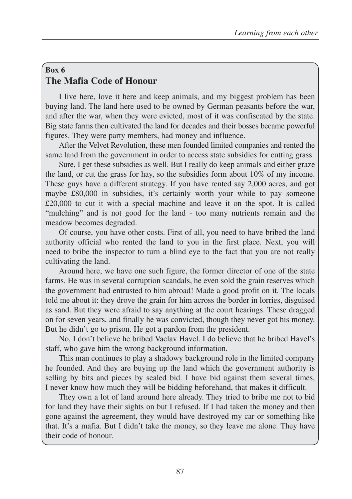## **Box 6 The Mafia Code of Honour**

I live here, love it here and keep animals, and my biggest problem has been buying land. The land here used to be owned by German peasants before the war, and after the war, when they were evicted, most of it was confiscated by the state. Big state farms then cultivated the land for decades and their bosses became powerful figures. They were party members, had money and influence.

After the Velvet Revolution, these men founded limited companies and rented the same land from the government in order to access state subsidies for cutting grass.

Sure, I get these subsidies as well. But I really do keep animals and either graze the land, or cut the grass for hay, so the subsidies form about 10% of my income. These guys have a different strategy. If you have rented say 2,000 acres, and got maybe £80,000 in subsidies, it's certainly worth your while to pay someone £20,000 to cut it with a special machine and leave it on the spot. It is called "mulching" and is not good for the land - too many nutrients remain and the meadow becomes degraded.

Of course, you have other costs. First of all, you need to have bribed the land authority official who rented the land to you in the first place. Next, you will need to bribe the inspector to turn a blind eye to the fact that you are not really cultivating the land.

Around here, we have one such figure, the former director of one of the state farms. He was in several corruption scandals, he even sold the grain reserves which the government had entrusted to him abroad! Made a good profit on it. The locals told me about it: they drove the grain for him across the border in lorries, disguised as sand. But they were afraid to say anything at the court hearings. These dragged on for seven years, and finally he was convicted, though they never got his money. But he didn't go to prison. He got a pardon from the president.

No, I don't believe he bribed Vaclav Havel. I do believe that he bribed Havel's staff, who gave him the wrong background information.

This man continues to play a shadowy background role in the limited company he founded. And they are buying up the land which the government authority is selling by bits and pieces by sealed bid. I have bid against them several times, I never know how much they will be bidding beforehand, that makes it difficult.

They own a lot of land around here already. They tried to bribe me not to bid for land they have their sights on but I refused. If I had taken the money and then gone against the agreement, they would have destroyed my car or something like that. It's a mafia. But I didn't take the money, so they leave me alone. They have their code of honour.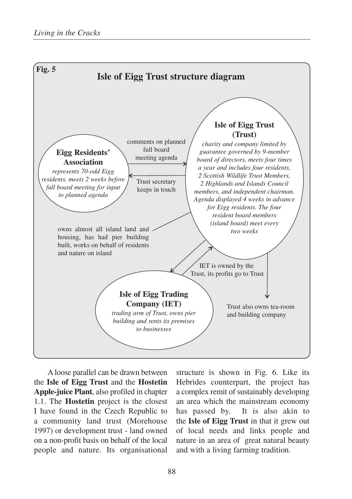

A loose parallel can be drawn between the **Isle of Eigg Trust** and the **Hostetin Apple-juice Plant**, also profiled in chapter 1.1. The **Hostetin** project is the closest I have found in the Czech Republic to a community land trust (Morehouse 1997) or development trust - land owned on a non-profit basis on behalf of the local people and nature. Its organisational

structure is shown in Fig. 6. Like its Hebrides counterpart, the project has a complex remit of sustainably developing an area which the mainstream economy has passed by. It is also akin to the **Isle of Eigg Trust** in that it grew out of local needs and links people and nature in an area of great natural beauty and with a living farming tradition.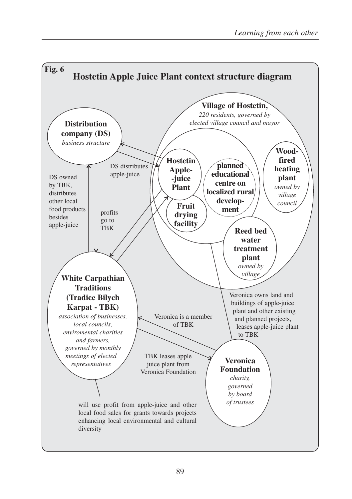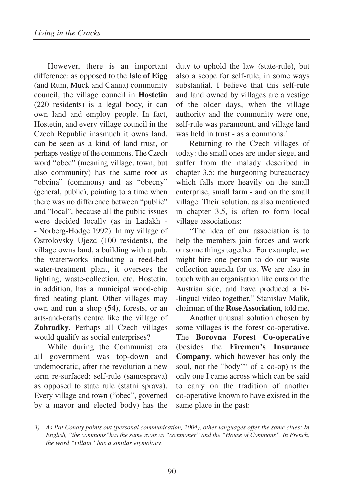However, there is an important difference: as opposed to the **Isle of Eigg** (and Rum, Muck and Canna) community council, the village council in **Hostetin** (220 residents) is a legal body, it can own land and employ people. In fact, Hostetin, and every village council in the Czech Republic inasmuch it owns land, can be seen as a kind of land trust, or perhaps vestige of the commons. The Czech word "obec" (meaning village, town, but also community) has the same root as "obcina" (commons) and as "obecny" (general, public), pointing to a time when there was no difference between "public" and "local", because all the public issues were decided locally (as in Ladakh - - Norberg-Hodge 1992). In my village of Ostrolovsky Ujezd (100 residents), the village owns land, a building with a pub, the waterworks including a reed-bed water-treatment plant, it oversees the lighting, waste-collection, etc. Hostetin, in addition, has a municipal wood-chip fired heating plant. Other villages may own and run a shop (**54**), forests, or an arts-and-crafts centre like the village of **Zahradky**. Perhaps all Czech villages would qualify as social enterprises?

While during the Communist era all government was top-down and undemocratic, after the revolution a new term re-surfaced: self-rule (samosprava) as opposed to state rule (statni sprava). Every village and town ("obec", governed by a mayor and elected body) has the duty to uphold the law (state-rule), but also a scope for self-rule, in some ways substantial. I believe that this self-rule and land owned by villages are a vestige of the older days, when the village authority and the community were one, self-rule was paramount, and village land was held in trust - as a commons.<sup>3</sup>

Returning to the Czech villages of today: the small ones are under siege, and suffer from the malady described in chapter 3.5: the burgeoning bureaucracy which falls more heavily on the small enterprise, small farm - and on the small village. Their solution, as also mentioned in chapter 3.5, is often to form local village associations:

"The idea of our association is to help the members join forces and work on some things together. For example, we might hire one person to do our waste collection agenda for us. We are also in touch with an organisation like ours on the Austrian side, and have produced a bi- -lingual video together," Stanislav Malik, chairman of the **Rose Association**, told me.

Another unusual solution chosen by some villages is the forest co-operative. The **Borovna Forest Co-operative** (besides the **Firemen's Insurance Company**, which however has only the soul, not the "body"" of a co-op) is the only one I came across which can be said to carry on the tradition of another co-operative known to have existed in the same place in the past:

*<sup>3)</sup> As Pat Conaty points out (personal communication, 2004), other languages offer the same clues: In English, "the commons"has the same roots as "commoner" and the "House of Commons". In French, the word "villain" has a similar etymology.*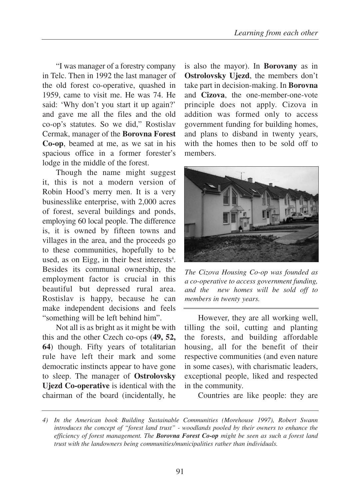"I was manager of a forestry company in Telc. Then in 1992 the last manager of the old forest co-operative, quashed in 1959, came to visit me. He was 74. He said: 'Why don't you start it up again?' and gave me all the files and the old co-op's statutes. So we did," Rostislav Cermak, manager of the **Borovna Forest Co-op**, beamed at me, as we sat in his spacious office in a former forester's lodge in the middle of the forest.

Though the name might suggest it, this is not a modern version of Robin Hood's merry men. It is a very businesslike enterprise, with 2,000 acres of forest, several buildings and ponds, employing 60 local people. The difference is, it is owned by fifteen towns and villages in the area, and the proceeds go to these communities, hopefully to be used, as on Eigg, in their best interests $4$ . Besides its communal ownership, the employment factor is crucial in this beautiful but depressed rural area. Rostislav is happy, because he can make independent decisions and feels "something will be left behind him".

Not all is as bright as it might be with this and the other Czech co-ops (**49, 52, 64**) though. Fifty years of totalitarian rule have left their mark and some democratic instincts appear to have gone to sleep. The manager of **Ostrolovsky Ujezd Co-operative** is identical with the chairman of the board (incidentally, he

is also the mayor). In **Borovany** as in **Ostrolovsky Ujezd**, the members don't take part in decision-making. In **Borovna** and **Cizova**, the one-member-one-vote principle does not apply. Cizova in addition was formed only to access government funding for building homes, and plans to disband in twenty years, with the homes then to be sold off to members.



*The Cizova Housing Co-op was founded as a co-operative to access government funding, and the new homes will be sold off to members in twenty years.* 

However, they are all working well, tilling the soil, cutting and planting the forests, and building affordable housing, all for the benefit of their respective communities (and even nature in some cases), with charismatic leaders, exceptional people, liked and respected in the community.

Countries are like people: they are

*<sup>4)</sup> In the American book Building Sustainable Communities (Morehouse 1997), Robert Swann introduces the concept of "forest land trust" - woodlands pooled by their owners to enhance the efficiency of forest management. The Borovna Forest Co-op might be seen as such a forest land trust with the landowners being communities/municipalities rather than individuals.*